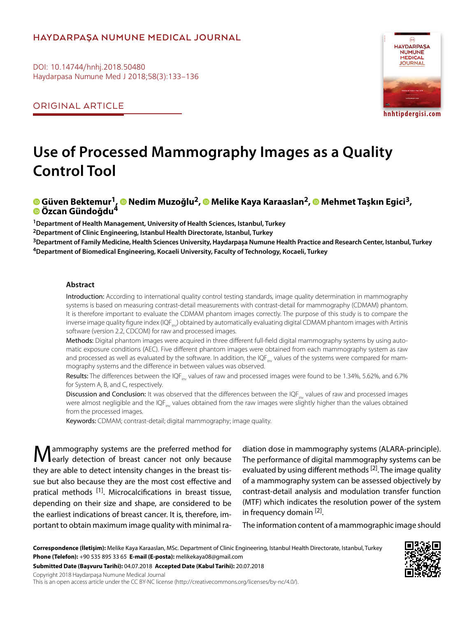## **HAYDARPAŞA NUMUNE MEDICAL JOURNAL**

DOI: 10.14744/hnhj.2018.50480 Haydarpasa Numune Med J 2018;58(3):133–136

ORIGINAL ARTICLE



# **Use of Processed Mammography Images as a Quality Control Tool**

# **Güven Bektemur1,Nedim Muzoğlu2,Melike Kaya Karaaslan2,Mehmet Taşkın Egici3, Özcan Gündoğdu4**

**1Department of Health Management, University of Health Sciences, Istanbul, Turkey**

**2Department of Clinic Engineering, Istanbul Health Directorate, Istanbul, Turkey**

**3Department of Family Medicine, Health Sciences University, Haydarpaşa Numune Health Practice and Research Center, Istanbul, Turkey 4Department of Biomedical Engineering, Kocaeli University, Faculty of Technology, Kocaeli, Turkey**

#### **Abstract**

Introduction: According to international quality control testing standards, image quality determination in mammography systems is based on measuring contrast-detail measurements with contrast-detail for mammography (CDMAM) phantom. It is therefore important to evaluate the CDMAM phantom images correctly. The purpose of this study is to compare the inverse image quality figure index ( $IQF_{inv}$ ) obtained by automatically evaluating digital CDMAM phantom images with Artinis software (version 2.2, CDCOM) for raw and processed images.

Methods: Digital phantom images were acquired in three different full-field digital mammography systems by using automatic exposure conditions (AEC). Five different phantom images were obtained from each mammography system as raw and processed as well as evaluated by the software. In addition, the IQF $_{\text{inv}}$  values of the systems were compared for mammography systems and the difference in between values was observed.

Results: The differences between the IQF<sub>inv</sub> values of raw and processed images were found to be 1.34%, 5.62%, and 6.7% for System A, B, and C, respectively.

Discussion and Conclusion: It was observed that the differences between the IQF<sub>inv</sub> values of raw and processed images were almost negligible and the IQF<sub>inv</sub> values obtained from the raw images were slightly higher than the values obtained from the processed images.

Keywords: CDMAM; contrast-detail; digital mammography; image quality.

ammography systems are the preferred method for I early detection of breast cancer not only because they are able to detect intensity changes in the breast tissue but also because they are the most cost effective and pratical methods <sup>[1]</sup>. Microcalcifications in breast tissue, depending on their size and shape, are considered to be the earliest indications of breast cancer. It is, therefore, important to obtain maximum image quality with minimal ra-

diation dose in mammography systems (ALARA-principle). The performance of digital mammography systems can be evaluated by using different methods  $[2]$ . The image quality of a mammography system can be assessed objectively by contrast-detail analysis and modulation transfer function (MTF) which indicates the resolution power of the system in frequency domain [2].

The information content of a mammographic image should

**Correspondence (İletişim):** Melike Kaya Karaaslan, MSc. Department of Clinic Engineering, Istanbul Health Directorate, Istanbul, Turkey **Phone (Telefon):** +90 535 895 33 65 **E-mail (E-posta):** melikekaya08@gmail.com

**Submitted Date (Başvuru Tarihi):** 04.07.2018 **Accepted Date (Kabul Tarihi):** 20.07.2018

Copyright 2018 Haydarpaşa Numune Medical Journal



This is an open access article under the CC BY-NC license (http://creativecommons.org/licenses/by-nc/4.0/).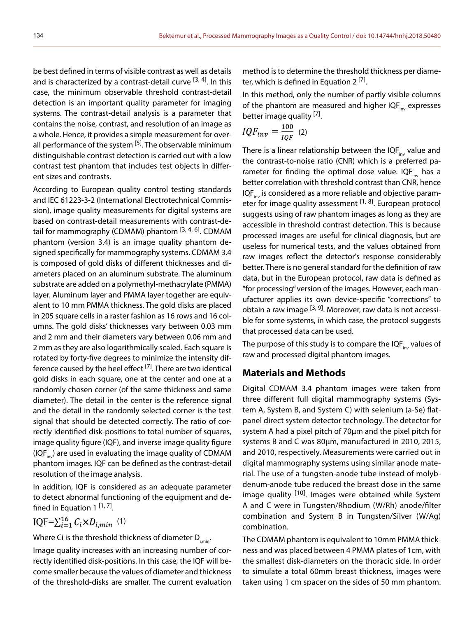be best defined in terms of visible contrast as well as details and is characterized by a contrast-detail curve  $^{[3, 4]}$ . In this case, the minimum observable threshold contrast-detail detection is an important quality parameter for imaging systems. The contrast-detail analysis is a parameter that contains the noise, contrast, and resolution of an image as a whole. Hence, it provides a simple measurement for overall performance of the system <sup>[5]</sup>. The observable minimum distinguishable contrast detection is carried out with a low contrast test phantom that includes test objects in different sizes and contrasts.

According to European quality control testing standards and IEC 61223-3-2 (International Electrotechnical Commission), image quality measurements for digital systems are based on contrast-detail measurements with contrast-detail for mammography (CDMAM) phantom <sup>[3, 4, 6]</sup>. CDMAM phantom (version 3.4) is an image quality phantom designed specifically for mammography systems. CDMAM 3.4 is composed of gold disks of different thicknesses and diameters placed on an aluminum substrate. The aluminum substrate are added on a polymethyl-methacrylate (PMMA) layer. Aluminum layer and PMMA layer together are equivalent to 10 mm PMMA thickness. The gold disks are placed in 205 square cells in a raster fashion as 16 rows and 16 columns. The gold disks' thicknesses vary between 0.03 mm and 2 mm and their diameters vary between 0.06 mm and 2 mm as they are also logarithmically scaled. Each square is rotated by forty-five degrees to minimize the intensity difference caused by the heel effect <sup>[7]</sup>. There are two identical gold disks in each square, one at the center and one at a randomly chosen corner (of the same thickness and same diameter). The detail in the center is the reference signal and the detail in the randomly selected corner is the test signal that should be detected correctly. The ratio of correctly identified disk-positions to total number of squares, image quality figure (IQF), and inverse image quality figure (IQF $_{\text{inv}}$ ) are used in evaluating the image quality of CDMAM phantom images. IQF can be defined as the contrast-detail resolution of the image analysis.

In addition, IQF is considered as an adequate parameter to detect abnormal functioning of the equipment and defined in Equation 1<sup>[1,7]</sup>.

$$
IQF=\sum_{i=1}^{16} C_i \times D_{i,min}
$$
 (1)

Where Ci is the threshold thickness of diameter  $D_{i,min}$ .

Image quality increases with an increasing number of correctly identified disk-positions. In this case, the IQF will become smaller because the values of diameter and thickness of the threshold-disks are smaller. The current evaluation

method is to determine the threshold thickness per diameter, which is defined in Equation 2<sup>[7]</sup>.

In this method, only the number of partly visible columns of the phantom are measured and higher  $IQF_{inv}$  expresses better image quality <sup>[7]</sup>.

$$
IQF_{inv} = \frac{100}{IQF} \quad (2)
$$

There is a linear relationship between the  $IOF_{im}$  value and the contrast-to-noise ratio (CNR) which is a preferred parameter for finding the optimal dose value.  $IQF_{im}$  has a better correlation with threshold contrast than CNR, hence  $IOF<sub>inv</sub>$  is considered as a more reliable and objective parameter for image quality assessment [1, 8]. European protocol suggests using of raw phantom images as long as they are accessible in threshold contrast detection. This is because processed images are useful for clinical diagnosis, but are useless for numerical tests, and the values obtained from raw images reflect the detector's response considerably better. There is no general standard for the definition of raw data, but in the European protocol, raw data is defined as "for processing" version of the images. However, each manufacturer applies its own device-specific "corrections" to obtain a raw image  $[3, 9]$ . Moreover, raw data is not accessible for some systems, in which case, the protocol suggests that processed data can be used.

The purpose of this study is to compare the IQF $_{inv}$  values of raw and processed digital phantom images.

### **Materials and Methods**

Digital CDMAM 3.4 phantom images were taken from three different full digital mammography systems (System A, System B, and System C) with selenium (a-Se) flatpanel direct system detector technology. The detector for system A had a pixel pitch of 70μm and the pixel pitch for systems B and C was 80μm, manufactured in 2010, 2015, and 2010, respectively. Measurements were carried out in digital mammography systems using similar anode material. The use of a tungsten-anode tube instead of molybdenum-anode tube reduced the breast dose in the same image quality <sup>[10]</sup>. Images were obtained while System A and C were in Tungsten/Rhodium (W/Rh) anode/filter combination and System B in Tungsten/Silver (W/Ag) combination.

The CDMAM phantom is equivalent to 10mm PMMA thickness and was placed between 4 PMMA plates of 1cm, with the smallest disk-diameters on the thoracic side. In order to simulate a total 60mm breast thickness, images were taken using 1 cm spacer on the sides of 50 mm phantom.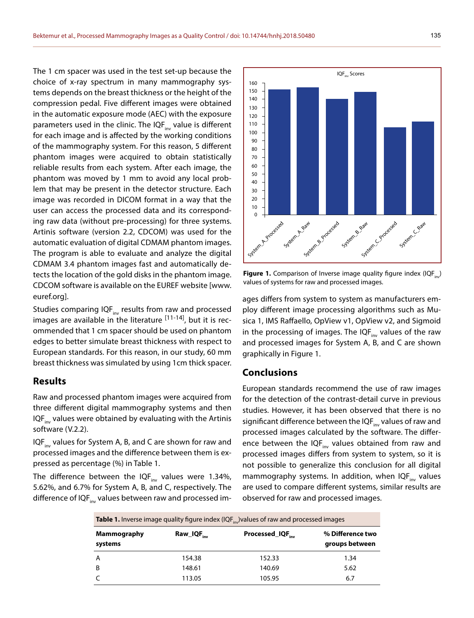The 1 cm spacer was used in the test set-up because the choice of x-ray spectrum in many mammography systems depends on the breast thickness or the height of the compression pedal. Five different images were obtained in the automatic exposure mode (AEC) with the exposure parameters used in the clinic. The IQF $_{inv}$  value is different for each image and is affected by the working conditions of the mammography system. For this reason, 5 different phantom images were acquired to obtain statistically reliable results from each system. After each image, the phantom was moved by 1 mm to avoid any local problem that may be present in the detector structure. Each image was recorded in DICOM format in a way that the user can access the processed data and its corresponding raw data (without pre-processing) for three systems. Artinis software (version 2.2, CDCOM) was used for the automatic evaluation of digital CDMAM phantom images. The program is able to evaluate and analyze the digital CDMAM 3.4 phantom images fast and automatically detects the location of the gold disks in the phantom image. CDCOM software is available on the EUREF website [www. euref.org].

Studies comparing  $IQF_{inv}$  results from raw and processed images are available in the literature  $[11-14]$ , but it is recommended that 1 cm spacer should be used on phantom edges to better simulate breast thickness with respect to European standards. For this reason, in our study, 60 mm breast thickness was simulated by using 1cm thick spacer.

#### **Results**

Raw and processed phantom images were acquired from three different digital mammography systems and then IQF $_{inv}$  values were obtained by evaluating with the Artinis software (V.2.2).

IQF $_{inv}$  values for System A, B, and C are shown for raw and processed images and the difference between them is expressed as percentage (%) in Table 1.

The difference between the IQF $_{\text{inv}}$  values were 1.34%, 5.62%, and 6.7% for System A, B, and C, respectively. The difference of IQF<sub>inv</sub> values between raw and processed im-



**Figure 1.** Comparison of Inverse image quality figure index (IQF...) values of systems for raw and processed images.

ages differs from system to system as manufacturers employ different image processing algorithms such as Musica 1, IMS Raffaello, OpView v1, OpView v2, and Sigmoid in the processing of images. The IQF $_{\text{inv}}$  values of the raw and processed images for System A, B, and C are shown graphically in Figure 1.

#### **Conclusions**

European standards recommend the use of raw images for the detection of the contrast-detail curve in previous studies. However, it has been observed that there is no significant difference between the IQF $_{inv}$  values of raw and processed images calculated by the software. The difference between the IQF $_{inv}$  values obtained from raw and processed images differs from system to system, so it is not possible to generalize this conclusion for all digital mammography systems. In addition, when  $IQF_{inv}$  values are used to compare different systems, similar results are observed for raw and processed images.

| <b>Table 1.</b> Inverse image quality figure index (IQF <sub>inv</sub> ) values of raw and processed images |               |                                    |
|-------------------------------------------------------------------------------------------------------------|---------------|------------------------------------|
| $\mathsf{Raw\_IQF}_{inv}$                                                                                   | Processed_IQF | % Difference two<br>groups between |
| 154.38                                                                                                      | 152.33        | 1.34                               |
| 148.61                                                                                                      | 140.69        | 5.62                               |
| 113.05                                                                                                      | 105.95        | 6.7                                |
|                                                                                                             |               |                                    |